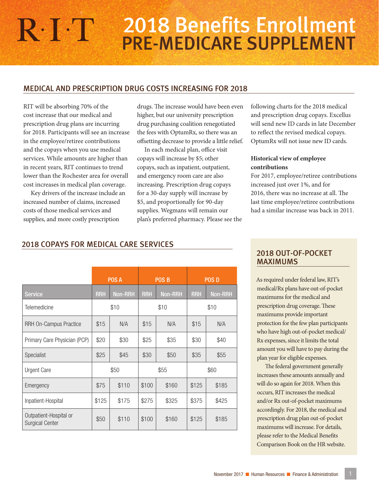# 2018 Benefits Enrollment $R \cdot \Gamma$ PRE-MEDICARE SUPPLEMENT

## MEDICAL AND PRESCRIPTION DRUG COSTS INCREASING FOR 2018

RIT will be absorbing 70% of the cost increase that our medical and prescription drug plans are incurring for 2018. Participants will see an increase in the employee/retiree contributions and the copays when you use medical services. While amounts are higher than in recent years, RIT continues to trend lower than the Rochester area for overall cost increases in medical plan coverage.

Key drivers of the increase include an increased number of claims, increased costs of those medical services and supplies, and more costly prescription

drugs. The increase would have been even higher, but our university prescription drug purchasing coalition renegotiated the fees with OptumRx, so there was an offsetting decrease to provide a little relief.

In each medical plan, office visit copays will increase by \$5; other copays, such as inpatient, outpatient, and emergency room care are also increasing. Prescription drug copays for a 30-day supply will increase by \$5, and proportionally for 90-day supplies. Wegmans will remain our plan's preferred pharmacy. Please see the following charts for the 2018 medical and prescription drug copays. Excellus will send new ID cards in late December to reflect the revised medical copays. OptumRx will not issue new ID cards.

## **Historical view of employee contributions**

For 2017, employee/retiree contributions increased just over 1%, and for 2016, there was no increase at all. The last time employee/retiree contributions had a similar increase was back in 2011.

# 2018 COPAYS FOR MEDICAL CARE SERVICES

|                                                  | POS A      |                | POS <sub>B</sub> |                | <b>POSD</b> |                |
|--------------------------------------------------|------------|----------------|------------------|----------------|-------------|----------------|
| <b>Service</b>                                   | <b>RRH</b> | <b>Non-RRH</b> | <b>RRH</b>       | <b>Non-RRH</b> | <b>RRH</b>  | <b>Non-RRH</b> |
| Telemedicine                                     | \$10       |                | \$10             |                | \$10        |                |
| <b>RRH On-Campus Practice</b>                    | \$15       | N/A            | \$15             | N/A            | \$15        | N/A            |
| Primary Care Physician (PCP)                     | \$20       | \$30           | \$25             | \$35           | \$30        | \$40           |
| Specialist                                       | \$25       | \$45           | \$30             | \$50           | \$35        | \$55           |
| <b>Urgent Care</b>                               | \$50       |                | \$55             |                | \$60        |                |
| Emergency                                        | \$75       | \$110          | \$100            | \$160          | \$125       | \$185          |
| Inpatient-Hospital                               | \$125      | \$175          | \$275            | \$325          | \$375       | \$425          |
| Outpatient-Hospital or<br><b>Surgical Center</b> | \$50       | \$110          | \$100            | \$160          | \$125       | \$185          |

## 2018 OUT-OF-POCKET MAXIMUMS

As required under federal law, RIT's medical/Rx plans have out-of-pocket maximums for the medical and prescription drug coverage. These maximums provide important protection for the few plan participants who have high out-of-pocket medical/ Rx expenses, since it limits the total amount you will have to pay during the plan year for eligible expenses.

The federal government generally increases these amounts annually and will do so again for 2018. When this occurs, RIT increases the medical and/or Rx out-of-pocket maximums accordingly. For 2018, the medical and prescription drug plan out-of-pocket maximums will increase. For details, please refer to the Medical Benefits Comparison Book on the HR website.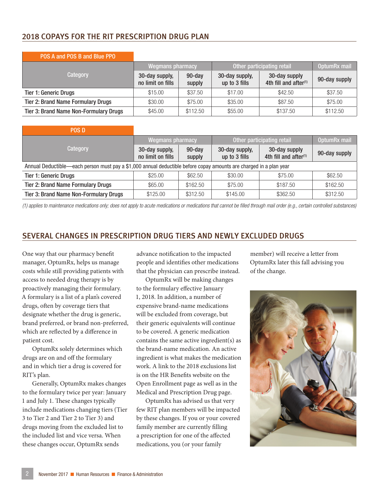# 2018 COPAYS FOR THE RIT PRESCRIPTION DRUG PLAN

| FUJA ANU FUJI DI ANU DIUG FFU                 |                                     |                     |                                 |                                           |               |
|-----------------------------------------------|-------------------------------------|---------------------|---------------------------------|-------------------------------------------|---------------|
|                                               | <b>Wegmans pharmacy</b>             |                     | Other participating retail      | OptumRx mail                              |               |
| Category                                      | 30-day supply,<br>no limit on fills | $90$ -day<br>supply | 30-day supply,<br>up to 3 fills | 30-day supply<br>4th fill and after $(1)$ | 90-day supply |
| <b>Tier 1: Generic Drugs</b>                  | \$15.00                             | \$37.50             | \$17.00                         | \$42.50                                   | \$37.50       |
| <b>Tier 2: Brand Name Formulary Drugs</b>     | \$30.00                             | \$75.00             | \$35.00                         | \$87.50                                   | \$75.00       |
| <b>Tier 3: Brand Name Non-Formulary Drugs</b> | \$45.00                             | \$112.50            | \$55,00                         | \$137.50                                  | \$112.50      |

#### POS A and POS B and Blue PPO

| <b>POS D</b>                                                                                                       |                                     |                  |                                 |                                                    |               |  |
|--------------------------------------------------------------------------------------------------------------------|-------------------------------------|------------------|---------------------------------|----------------------------------------------------|---------------|--|
|                                                                                                                    | <b>Wegmans pharmacy</b>             |                  | Other participating retail      | OptumRx mail                                       |               |  |
| Category                                                                                                           | 30-day supply,<br>no limit on fills | 90-day<br>supply | 30-day supply,<br>up to 3 fills | 30-day supply<br>4th fill and after <sup>(1)</sup> | 90-day supply |  |
| Annual Deductible—each person must pay a \$1,000 annual deductible before copay amounts are charged in a plan year |                                     |                  |                                 |                                                    |               |  |
| <b>Tier 1: Generic Drugs</b>                                                                                       | \$25.00                             | \$62.50          | \$30.00                         | \$75.00                                            | \$62.50       |  |
| <b>Tier 2: Brand Name Formulary Drugs</b>                                                                          | \$65,00                             | \$162.50         | \$75.00                         | \$187.50                                           | \$162.50      |  |
| <b>Tier 3: Brand Name Non-Formulary Drugs</b>                                                                      | \$125.00                            | \$312.50         | \$145.00                        | \$362.50                                           | \$312.50      |  |

*(1) applies to maintenance medications only; does not apply to acute medications or medications that cannot be filled through mail order (e.g., certain controlled substances)*

# SEVERAL CHANGES IN PRESCRIPTION DRUG TIERS AND NEWLY EXCLUDED DRUGS

One way that our pharmacy benefit manager, OptumRx, helps us manage costs while still providing patients with access to needed drug therapy is by proactively managing their formulary. A formulary is a list of a plan's covered drugs, often by coverage tiers that designate whether the drug is generic, brand preferred, or brand non-preferred, which are reflected by a difference in patient cost.

OptumRx solely determines which drugs are on and off the formulary and in which tier a drug is covered for RIT's plan.

Generally, OptumRx makes changes to the formulary twice per year: January 1 and July 1. These changes typically include medications changing tiers (Tier 3 to Tier 2 and Tier 2 to Tier 3) and drugs moving from the excluded list to the included list and vice versa. When these changes occur, OptumRx sends

advance notification to the impacted people and identifies other medications that the physician can prescribe instead.

OptumRx will be making changes to the formulary effective January 1, 2018. In addition, a number of expensive brand-name medications will be excluded from coverage, but their generic equivalents will continue to be covered. A generic medication contains the same active ingredient(s) as the brand-name medication. An active ingredient is what makes the medication work. A link to the 2018 exclusions list is on the HR Benefits website on the Open Enrollment page as well as in the Medical and Prescription Drug page.

OptumRx has advised us that very few RIT plan members will be impacted by these changes. If you or your covered family member are currently filling a prescription for one of the affected medications, you (or your family

member) will receive a letter from OptumRx later this fall advising you of the change.

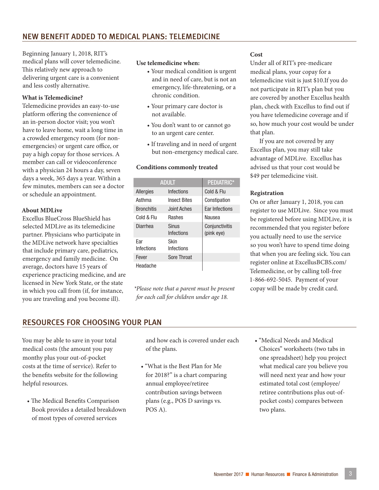Beginning January 1, 2018, RIT's medical plans will cover telemedicine. This relatively new approach to delivering urgent care is a convenient and less costly alternative.

#### **What is Telemedicine?**

Telemedicine provides an easy-to-use platform offering the convenience of an in-person doctor visit; you won't have to leave home, wait a long time in a crowded emergency room (for nonemergencies) or urgent care office, or pay a high copay for those services. A member can call or videoconference with a physician 24 hours a day, seven days a week, 365 days a year. Within a few minutes, members can see a doctor or schedule an appointment.

#### **About MDLive**

Excellus BlueCross BlueShield has selected MDLive as its telemedicine partner. Physicians who participate in the MDLive network have specialties that include primary care, pediatrics, emergency and family medicine. On average, doctors have 15 years of experience practicing medicine, and are licensed in New York State, or the state in which you call from (if, for instance, you are traveling and you become ill).

#### **Use telemedicine when:**

- Your medical condition is urgent and in need of care, but is not an emergency, life-threatening, or a chronic condition.
- Your primary care doctor is not available.
- You don't want to or cannot go to an urgent care center.
- If traveling and in need of urgent but non-emergency medical care.

#### **Conditions commonly treated**

|                   | PEDIATRIC*          |                              |
|-------------------|---------------------|------------------------------|
| <b>Allergies</b>  | Infections          | Cold & Flu                   |
| Asthma            | <b>Insect Bites</b> | Constipation                 |
| <b>Bronchitis</b> | Joint Aches         | Ear Infections               |
| Cold & Flu        | <b>Rashes</b>       | Nausea                       |
| Diarrhea          | Sinus<br>Infections | Conjunctivitis<br>(pink eye) |
| Far<br>Infections | Skin<br>Infections  |                              |
| Fever             | Sore Throat         |                              |
| Headache          |                     |                              |

*\*Please note that a parent must be present for each call for children under age 18.*

#### **Cost**

Under all of RIT's pre-medicare medical plans, your copay for a telemedicine visit is just \$10.If you do not participate in RIT's plan but you are covered by another Excellus health plan, check with Excellus to find out if you have telemedicine coverage and if so, how much your cost would be under that plan.

If you are not covered by any Excellus plan, you may still take advantage of MDLive. Excellus has advised us that your cost would be \$49 per telemedicine visit.

#### **Registration**

On or after January 1, 2018, you can register to use MDLive. Since you must be registered before using MDLive, it is recommended that you register before you actually need to use the service so you won't have to spend time doing that when you are feeling sick. You can register online at ExcellusBCBS.com/ Telemedicine, or by calling toll-free 1-866-692-5045. Payment of your copay will be made by credit card.

# RESOURCES FOR CHOOSING YOUR PLAN

You may be able to save in your total medical costs (the amount you pay monthy plus your out-of-pocket costs at the time of service). Refer to the benefits website for the following helpful resources.

• The Medical Benefits Comparison Book provides a detailed breakdown of most types of covered services

and how each is covered under each of the plans.

- "What is the Best Plan for Me for 2018?" is a chart comparing annual employee/retiree contribution savings between plans (e.g., POS D savings vs. POS A).
- "Medical Needs and Medical Choices" worksheets (two tabs in one spreadsheet) help you project what medical care you believe you will need next year and how your estimated total cost (employee/ retiree contributions plus out-ofpocket costs) compares between two plans.